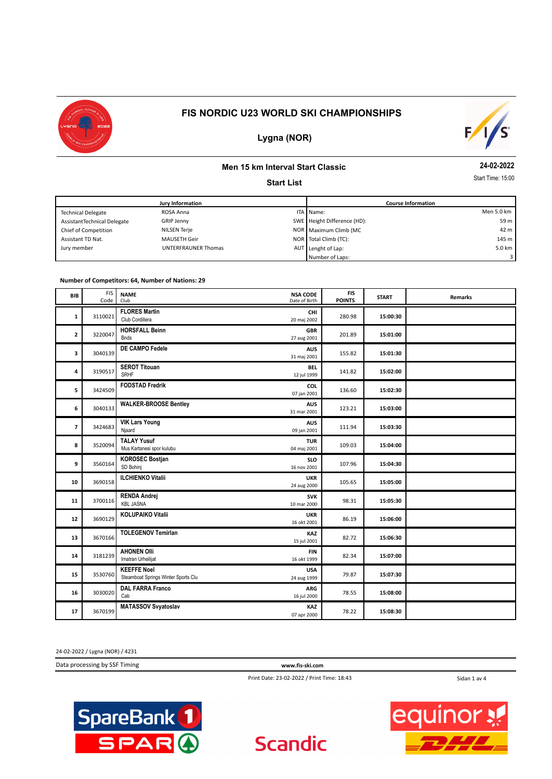



# **Lygna (NOR)**

#### **Men 15 km Interval Start Classic**

**24-02-2022**

#### **Start List**

| Start Time: 15:00 |
|-------------------|
|                   |

|                             | <b>Jury Information</b>    |                             | <b>Course Information</b> |
|-----------------------------|----------------------------|-----------------------------|---------------------------|
| <b>Technical Delegate</b>   | ROSA Anna                  | ITA Mame:                   | Men 5.0 km                |
| AssistantTechnical Delegate | GRIP Jenny                 | SWE Height Difference (HD): | 59 m                      |
| Chief of Competition        | NILSEN Terje               | NOR Maximum Climb (MC       | 42 m                      |
| Assistant TD Nat.           | <b>MAUSETH Geir</b>        | NOR Total Climb (TC):       | 145 m                     |
| Jury member                 | <b>UNTERFRAUNER Thomas</b> | AUT Lenght of Lap:          | 5.0 km                    |
|                             |                            | Number of Laps:             |                           |

#### **Number of Competitors: 64, Number of Nations: 29**

| BIB                      | <b>FIS</b><br>Code | <b>NAME</b><br>Club                                       | <b>NSA CODE</b><br>Date of Birth | <b>FIS</b><br><b>POINTS</b> | <b>START</b> | <b>Remarks</b> |
|--------------------------|--------------------|-----------------------------------------------------------|----------------------------------|-----------------------------|--------------|----------------|
| 1                        | 3110021            | <b>FLORES Martin</b><br>Club Cordillera                   | <b>CHI</b><br>20 maj 2002        | 280.98                      | 15:00:30     |                |
| $\mathbf{z}$             | 3220047            | <b>HORSFALL Beinn</b><br><b>Bnds</b>                      | <b>GBR</b><br>27 aug 2001        | 201.89                      | 15:01:00     |                |
| 3                        | 3040139            | DE CAMPO Fedele                                           | <b>AUS</b><br>31 maj 2001        | 155.82                      | 15:01:30     |                |
| 4                        | 3190517            | <b>SEROT Titouan</b><br><b>SRHF</b>                       | <b>BEL</b><br>12 jul 1999        | 141.82                      | 15:02:00     |                |
| 5                        | 3424509            | <b>FODSTAD Fredrik</b>                                    | COL<br>07 jan 2001               | 136.60                      | 15:02:30     |                |
| 6                        | 3040133            | <b>WALKER-BROOSE Bentley</b>                              | <b>AUS</b><br>31 mar 2001        | 123.21                      | 15:03:00     |                |
| $\overline{\phantom{a}}$ | 3424683            | <b>VIK Lars Young</b><br>Njaard                           | <b>AUS</b><br>09 jan 2001        | 111.94                      | 15:03:30     |                |
| 8                        | 3520094            | <b>TALAY Yusuf</b><br>Mus Kartanesi spor kulubu           | <b>TUR</b><br>04 maj 2001        | 109.03                      | 15:04:00     |                |
| 9                        | 3560164            | <b>KOROSEC Bostjan</b><br>SD Bohinj                       | <b>SLO</b><br>16 nov 2001        | 107.96                      | 15:04:30     |                |
| 10                       | 3690158            | <b>ILCHIENKO Vitalii</b>                                  | <b>UKR</b><br>24 aug 2000        | 105.65                      | 15:05:00     |                |
| 11                       | 3700116            | <b>RENDA Andrej</b><br><b>KBL JASNA</b>                   | <b>SVK</b><br>10 mar 2000        | 98.31                       | 15:05:30     |                |
| 12                       | 3690129            | <b>KOLUPAIKO Vitalii</b>                                  | <b>UKR</b><br>16 okt 2001        | 86.19                       | 15:06:00     |                |
| 13                       | 3670166            | <b>TOLEGENOV Temirlan</b>                                 | KAZ<br>15 jul 2001               | 82.72                       | 15:06:30     |                |
| 14                       | 3181239            | <b>AHONEN OIII</b><br>Imatran Urheilijat                  | <b>FIN</b><br>16 okt 1999        | 82.34                       | 15:07:00     |                |
| 15                       | 3530760            | <b>KEEFFE Noel</b><br>Steamboat Springs Winter Sports Clu | <b>USA</b><br>24 aug 1999        | 79.87                       | 15:07:30     |                |
| 16                       | 3030020            | <b>DAL FARRA Franco</b><br>Cab                            | <b>ARG</b><br>16 jul 2000        | 78.55                       | 15:08:00     |                |
| 17                       | 3670199            | <b>MATASSOV Svyatoslav</b>                                | <b>KAZ</b><br>07 apr 2000        | 78.22                       | 15:08:30     |                |

24-02-2022 / Lygna (NOR) / 4231

Data processing by SSF Timing **www.fis-ski.com**

Print Date: 23-02-2022 / Print Time: 18:43

Sidan 1 av 4



**Scandic** 

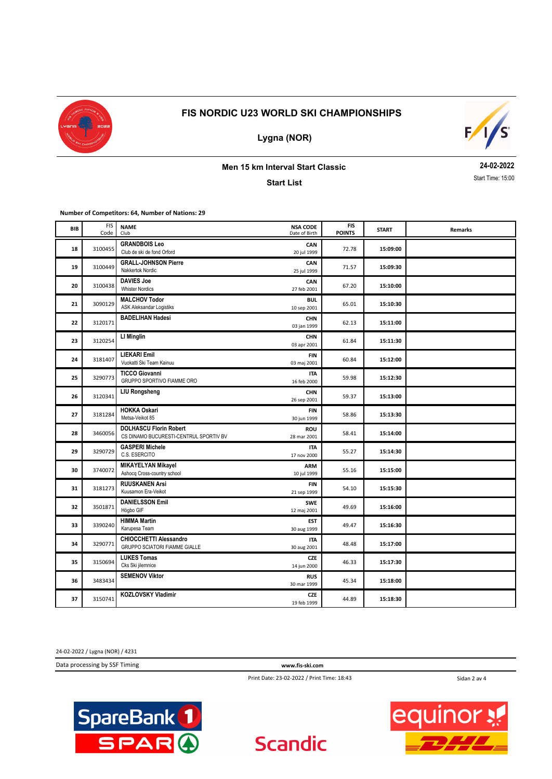



**Lygna (NOR)**

## **Men 15 km Interval Start Classic**

**Start List**

**24-02-2022** Start Time: 15:00

**Number of Competitors: 64, Number of Nations: 29**

| BIB | <b>FIS</b><br>Code | <b>NAME</b><br>Club                                                     | <b>NSA CODE</b><br>Date of Birth | <b>FIS</b><br><b>POINTS</b> | <b>START</b> | Remarks |
|-----|--------------------|-------------------------------------------------------------------------|----------------------------------|-----------------------------|--------------|---------|
| 18  | 3100455            | <b>GRANDBOIS Leo</b><br>Club de ski de fond Orford                      | CAN<br>20 jul 1999               | 72.78                       | 15:09:00     |         |
| 19  | 3100449            | <b>GRALL-JOHNSON Pierre</b><br>Nakkertok Nordic                         | CAN<br>25 jul 1999               | 71.57                       | 15:09:30     |         |
| 20  | 3100438            | <b>DAVIES Joe</b><br><b>Whister Nordics</b>                             | CAN<br>27 feb 2001               | 67.20                       | 15:10:00     |         |
| 21  | 3090129            | <b>MALCHOV Todor</b><br>ASK Aleksandar Logistiks                        | <b>BUL</b><br>10 sep 2001        | 65.01                       | 15:10:30     |         |
| 22  | 3120171            | <b>BADELIHAN Hadesi</b>                                                 | <b>CHN</b><br>03 jan 1999        | 62.13                       | 15:11:00     |         |
| 23  | 3120254            | LI Minglin                                                              | <b>CHN</b><br>03 apr 2001        | 61.84                       | 15:11:30     |         |
| 24  | 3181407            | <b>LIEKARI Emil</b><br>Vuokatti Ski Team Kainuu                         | <b>FIN</b><br>03 maj 2001        | 60.84                       | 15:12:00     |         |
| 25  | 3290773            | <b>TICCO Giovanni</b><br>GRUPPO SPORTIVO FIAMME ORO                     | <b>ITA</b><br>16 feb 2000        | 59.98                       | 15:12:30     |         |
| 26  | 3120341            | <b>LIU Rongsheng</b>                                                    | <b>CHN</b><br>26 sep 2001        | 59.37                       | 15:13:00     |         |
| 27  | 3181284            | <b>HOKKA Oskari</b><br>Metsa-Veikot 85                                  | FIN<br>30 jun 1999               | 58.86                       | 15:13:30     |         |
| 28  | 3460056            | <b>DOLHASCU Florin Robert</b><br>CS DINAMO BUCURESTI-CENTRUL SPORTIV BV | <b>ROU</b><br>28 mar 2001        | 58.41                       | 15:14:00     |         |
| 29  | 3290729            | <b>GASPERI Michele</b><br>C.S. ESERCITO                                 | <b>ITA</b><br>17 nov 2000        | 55.27                       | 15:14:30     |         |
| 30  | 3740072            | <b>MIKAYELYAN Mikayel</b><br>Ashocq Cross-country school                | <b>ARM</b><br>10 jul 1999        | 55.16                       | 15:15:00     |         |
| 31  | 3181273            | <b>RUUSKANEN Arsi</b><br>Kuusamon Era-Veikot                            | FIN<br>21 sep 1999               | 54.10                       | 15:15:30     |         |
| 32  | 3501871            | <b>DANIELSSON Emil</b><br>Högbo GIF                                     | <b>SWE</b><br>12 maj 2001        | 49.69                       | 15:16:00     |         |
| 33  | 3390240            | <b>HIMMA Martin</b><br>Karupesa Team                                    | <b>EST</b><br>30 aug 1999        | 49.47                       | 15:16:30     |         |
| 34  | 3290771            | <b>CHIOCCHETTI Alessandro</b><br><b>GRUPPO SCIATORI FIAMME GIALLE</b>   | <b>ITA</b><br>30 aug 2001        | 48.48                       | 15:17:00     |         |
| 35  | 3150694            | <b>LUKES Tomas</b><br>Cks Ski jilemnice                                 | <b>CZE</b><br>14 jun 2000        | 46.33                       | 15:17:30     |         |
| 36  | 3483434            | <b>SEMENOV Viktor</b>                                                   | <b>RUS</b><br>30 mar 1999        | 45.34                       | 15:18:00     |         |
| 37  | 3150741            | KOZLOVSKY Vladimir                                                      | <b>CZE</b><br>19 feb 1999        | 44.89                       | 15:18:30     |         |

24-02-2022 / Lygna (NOR) / 4231

Data processing by SSF Timing **www.fis-ski.com**

Print Date: 23-02-2022 / Print Time: 18:43

Sidan 2 av 4



**Scandic** 

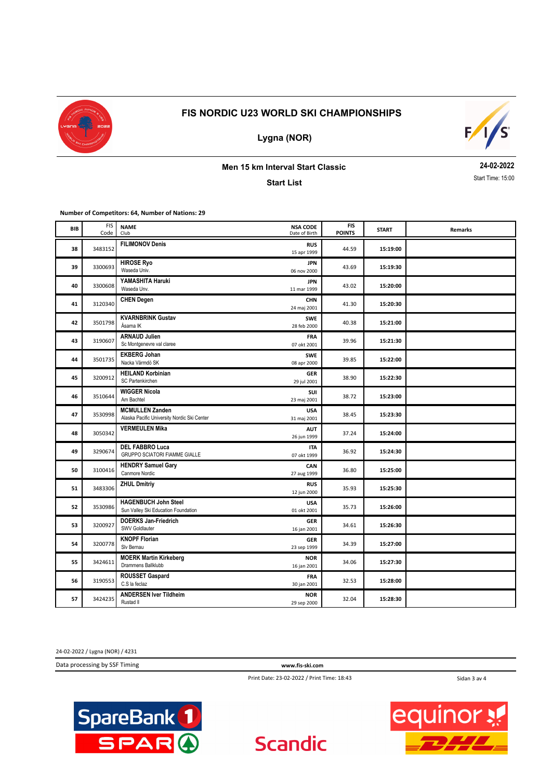

**Lygna (NOR)**



## **Men 15 km Interval Start Classic**

**Start List**

**24-02-2022** Start Time: 15:00

**Number of Competitors: 64, Number of Nations: 29**

| BIB | <b>FIS</b><br>Code | <b>NAME</b><br>Club                                                   | <b>NSA CODE</b><br>Date of Birth | <b>FIS</b><br><b>POINTS</b> | <b>START</b> | Remarks |
|-----|--------------------|-----------------------------------------------------------------------|----------------------------------|-----------------------------|--------------|---------|
| 38  | 3483152            | <b>FILIMONOV Denis</b>                                                | <b>RUS</b><br>15 apr 1999        | 44.59                       | 15:19:00     |         |
| 39  | 3300693            | <b>HIROSE Ryo</b><br>Waseda Univ.                                     | <b>JPN</b><br>06 nov 2000        | 43.69                       | 15:19:30     |         |
| 40  | 3300608            | YAMASHITA Haruki<br>Waseda Unv.                                       | <b>JPN</b><br>11 mar 1999        | 43.02                       | 15:20:00     |         |
| 41  | 3120340            | <b>CHEN Degen</b>                                                     | <b>CHN</b><br>24 maj 2001        | 41.30                       | 15:20:30     |         |
| 42  | 3501798            | <b>KVARNBRINK Gustav</b><br>Åsarna IK                                 | <b>SWE</b><br>28 feb 2000        | 40.38                       | 15:21:00     |         |
| 43  | 3190607            | <b>ARNAUD Julien</b><br>Sc Montgenevre val claree                     | <b>FRA</b><br>07 okt 2001        | 39.96                       | 15:21:30     |         |
| 44  | 3501735            | <b>EKBERG Johan</b><br>Nacka Värmdö SK                                | <b>SWE</b><br>08 apr 2000        | 39.85                       | 15:22:00     |         |
| 45  | 3200912            | <b>HEILAND Korbinian</b><br>SC Partenkirchen                          | <b>GER</b><br>29 jul 2001        | 38.90                       | 15:22:30     |         |
| 46  | 3510644            | <b>WIGGER Nicola</b><br>Am Bachtel                                    | SUI<br>23 maj 2001               | 38.72                       | 15:23:00     |         |
| 47  | 3530998            | <b>MCMULLEN Zanden</b><br>Alaska Pacific University Nordic Ski Center | <b>USA</b><br>31 maj 2001        | 38.45                       | 15:23:30     |         |
| 48  | 3050342            | <b>VERMEULEN Mika</b>                                                 | AUT<br>26 jun 1999               | 37.24                       | 15:24:00     |         |
| 49  | 3290674            | <b>DEL FABBRO Luca</b><br><b>GRUPPO SCIATORI FIAMME GIALLE</b>        | <b>ITA</b><br>07 okt 1999        | 36.92                       | 15:24:30     |         |
| 50  | 3100416            | <b>HENDRY Samuel Gary</b><br>Canmore Nordic                           | CAN<br>27 aug 1999               | 36.80                       | 15:25:00     |         |
| 51  | 3483306            | <b>ZHUL Dmitriy</b>                                                   | <b>RUS</b><br>12 jun 2000        | 35.93                       | 15:25:30     |         |
| 52  | 3530986            | <b>HAGENBUCH John Steel</b><br>Sun Valley Ski Education Foundation    | <b>USA</b><br>01 okt 2001        | 35.73                       | 15:26:00     |         |
| 53  | 3200927            | <b>DOERKS Jan-Friedrich</b><br>SWV Goldlauter                         | <b>GER</b><br>16 jan 2001        | 34.61                       | 15:26:30     |         |
| 54  | 3200778            | <b>KNOPF Florian</b><br>Slv Bernau                                    | <b>GER</b><br>23 sep 1999        | 34.39                       | 15:27:00     |         |
| 55  | 3424611            | <b>MOERK Martin Kirkeberg</b><br>Drammens Ballklubb                   | <b>NOR</b><br>16 jan 2001        | 34.06                       | 15:27:30     |         |
| 56  | 3190553            | <b>ROUSSET Gaspard</b><br>C.S la feclaz                               | <b>FRA</b><br>30 jan 2001        | 32.53                       | 15:28:00     |         |
| 57  | 3424235            | <b>ANDERSEN Iver Tildheim</b><br>Rustad II                            | <b>NOR</b><br>29 sep 2000        | 32.04                       | 15:28:30     |         |

24-02-2022 / Lygna (NOR) / 4231

Data processing by SSF Timing **www.fis-ski.com**

Print Date: 23-02-2022 / Print Time: 18:43

Sidan 3 av 4



**Scandic**